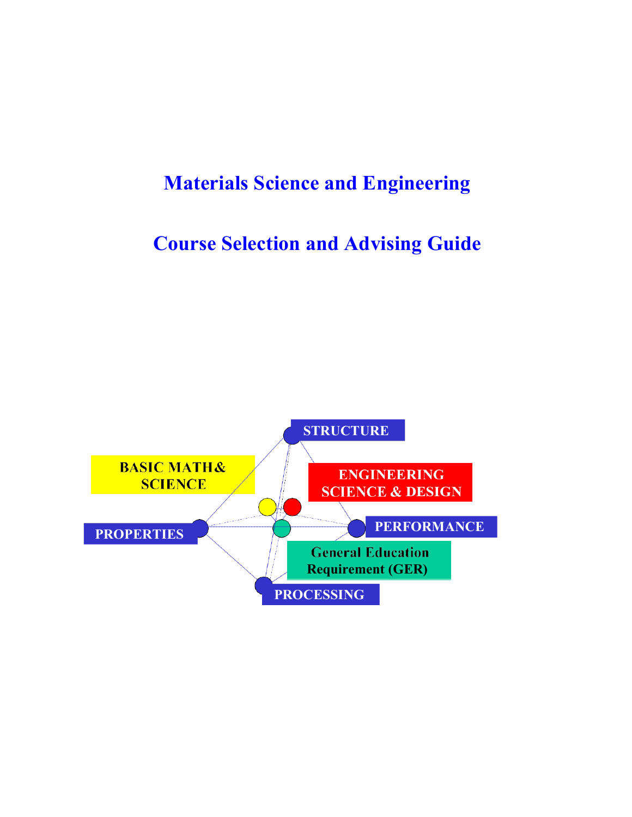# **Materials Science and Engineering**

# **Course Selection and Advising Guide**

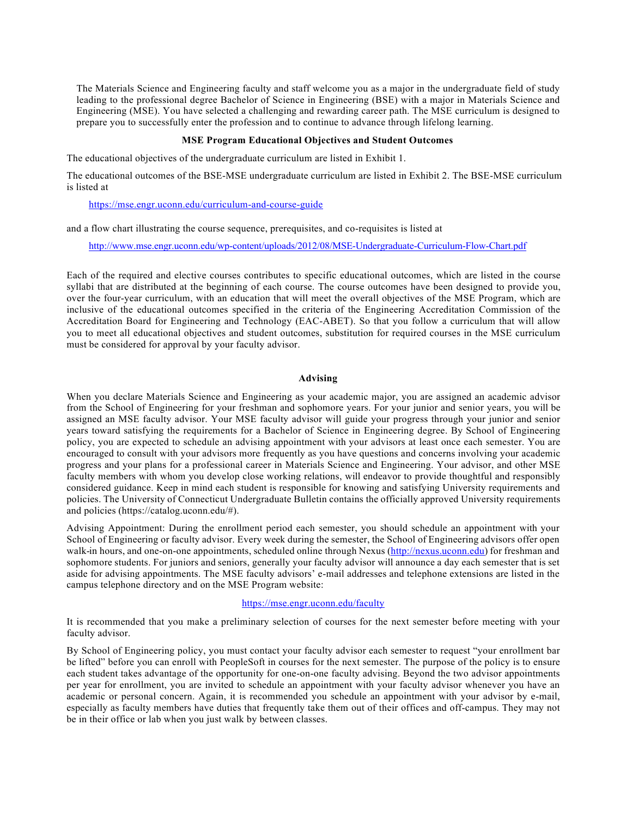The Materials Science and Engineering faculty and staff welcome you as a major in the undergraduate field of study leading to the professional degree Bachelor of Science in Engineering (BSE) with a major in Materials Science and Engineering (MSE). You have selected a challenging and rewarding career path. The MSE curriculum is designed to prepare you to successfully enter the profession and to continue to advance through lifelong learning.

### **MSE Program Educational Objectives and Student Outcomes**

The educational objectives of the undergraduate curriculum are listed in Exhibit 1.

The educational outcomes of the BSE-MSE undergraduate curriculum are listed in Exhibit 2. The BSE-MSE curriculum is listed at

#### https://mse.engr.uconn.edu/curriculum-and-course-guide

and a flow chart illustrating the course sequence, prerequisites, and co-requisites is listed at

http://www.mse.engr.uconn.edu/wp-content/uploads/2012/08/MSE-Undergraduate-Curriculum-Flow-Chart.pdf

Each of the required and elective courses contributes to specific educational outcomes, which are listed in the course syllabi that are distributed at the beginning of each course. The course outcomes have been designed to provide you, over the four-year curriculum, with an education that will meet the overall objectives of the MSE Program, which are inclusive of the educational outcomes specified in the criteria of the Engineering Accreditation Commission of the Accreditation Board for Engineering and Technology (EAC-ABET). So that you follow a curriculum that will allow you to meet all educational objectives and student outcomes, substitution for required courses in the MSE curriculum must be considered for approval by your faculty advisor.

#### **Advising**

When you declare Materials Science and Engineering as your academic major, you are assigned an academic advisor from the School of Engineering for your freshman and sophomore years. For your junior and senior years, you will be assigned an MSE faculty advisor. Your MSE faculty advisor will guide your progress through your junior and senior years toward satisfying the requirements for a Bachelor of Science in Engineering degree. By School of Engineering policy, you are expected to schedule an advising appointment with your advisors at least once each semester. You are encouraged to consult with your advisors more frequently as you have questions and concerns involving your academic progress and your plans for a professional career in Materials Science and Engineering. Your advisor, and other MSE faculty members with whom you develop close working relations, will endeavor to provide thoughtful and responsibly considered guidance. Keep in mind each student is responsible for knowing and satisfying University requirements and policies. The University of Connecticut Undergraduate Bulletin contains the officially approved University requirements and policies (https://catalog.uconn.edu/#).

Advising Appointment: During the enrollment period each semester, you should schedule an appointment with your School of Engineering or faculty advisor. Every week during the semester, the School of Engineering advisors offer open walk-in hours, and one-on-one appointments, scheduled online through Nexus (http://nexus.uconn.edu) for freshman and sophomore students. For juniors and seniors, generally your faculty advisor will announce a day each semester that is set aside for advising appointments. The MSE faculty advisors' e-mail addresses and telephone extensions are listed in the campus telephone directory and on the MSE Program website:

#### https://mse.engr.uconn.edu/faculty

It is recommended that you make a preliminary selection of courses for the next semester before meeting with your faculty advisor.

By School of Engineering policy, you must contact your faculty advisor each semester to request "your enrollment bar be lifted" before you can enroll with PeopleSoft in courses for the next semester. The purpose of the policy is to ensure each student takes advantage of the opportunity for one-on-one faculty advising. Beyond the two advisor appointments per year for enrollment, you are invited to schedule an appointment with your faculty advisor whenever you have an academic or personal concern. Again, it is recommended you schedule an appointment with your advisor by e-mail, especially as faculty members have duties that frequently take them out of their offices and off-campus. They may not be in their office or lab when you just walk by between classes.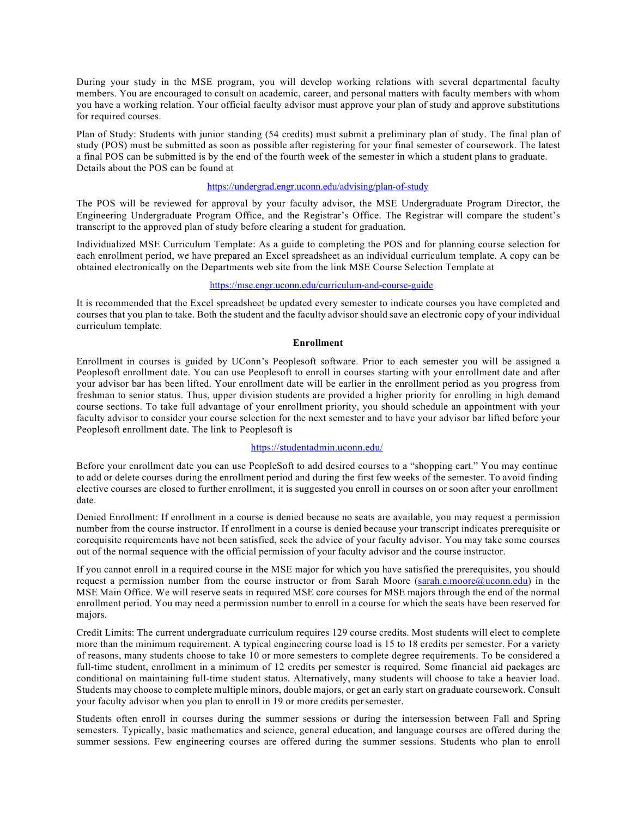During your study in the MSE program, you will develop working relations with several departmental faculty members. You are encouraged to consult on academic, career, and personal matters with faculty members with whom you have a working relation. Your official faculty advisor must approve your plan of study and approve substitutions for required courses.

Plan of Study: Students with junior standing (54 credits) must submit a preliminary plan of study. The final plan of study (POS) must be submitted as soon as possible after registering for your final semester of coursework. The latest a final POS can be submitted is by the end of the fourth week of the semester in which a student plans to graduate. Details about the POS can be found at

#### https://undergrad.engr.uconn.edu/advising/plan-of-study

The POS will be reviewed for approval by your faculty advisor, the MSE Undergraduate Program Director, the Engineering Undergraduate Program Office, and the Registrar's Office. The Registrar will compare the student's transcript to the approved plan of study before clearing a student for graduation.

Individualized MSE Curriculum Template: As a guide to completing the POS and for planning course selection for each enrollment period, we have prepared an Excel spreadsheet as an individual curriculum template. A copy can be obtained electronically on the Departments web site from the link MSE Course Selection Template at

## https://mse.engr.uconn.edu/curriculum-and-course-guide

It is recommended that the Excel spreadsheet be updated every semester to indicate courses you have completed and courses that you plan to take. Both the student and the faculty advisor should save an electronic copy of your individual curriculum template.

#### **Enrollment**

Enrollment in courses is guided by UConn's Peoplesoft software. Prior to each semester you will be assigned a Peoplesoft enrollment date. You can use Peoplesoft to enroll in courses starting with your enrollment date and after your advisor bar has been lifted. Your enrollment date will be earlier in the enrollment period as you progress from freshman to senior status. Thus, upper division students are provided a higher priority for enrolling in high demand course sections. To take full advantage of your enrollment priority, you should schedule an appointment with your faculty advisor to consider your course selection for the next semester and to have your advisor bar lifted before your Peoplesoft enrollment date. The link to Peoplesoft is

#### https://studentadmin.uconn.edu/

Before your enrollment date you can use PeopleSoft to add desired courses to a "shopping cart." You may continue to add or delete courses during the enrollment period and during the first few weeks of the semester. To avoid finding elective courses are closed to further enrollment, it is suggested you enroll in courses on or soon after your enrollment date.

Denied Enrollment: If enrollment in a course is denied because no seats are available, you may request a permission number from the course instructor. If enrollment in a course is denied because your transcript indicates prerequisite or corequisite requirements have not been satisfied, seek the advice of your faculty advisor. You may take some courses out of the normal sequence with the official permission of your faculty advisor and the course instructor.

If you cannot enroll in a required course in the MSE major for which you have satisfied the prerequisites, you should request a permission number from the course instructor or from Sarah Moore (sarah.e.moore@uconn.edu) in the MSE Main Office. We will reserve seats in required MSE core courses for MSE majors through the end of the normal enrollment period. You may need a permission number to enroll in a course for which the seats have been reserved for majors.

Credit Limits: The current undergraduate curriculum requires 129 course credits. Most students will elect to complete more than the minimum requirement. A typical engineering course load is 15 to 18 credits per semester. For a variety of reasons, many students choose to take 10 or more semesters to complete degree requirements. To be considered a full-time student, enrollment in a minimum of 12 credits per semester is required. Some financial aid packages are conditional on maintaining full-time student status. Alternatively, many students will choose to take a heavier load. Students may choose to complete multiple minors, double majors, or get an early start on graduate coursework. Consult your faculty advisor when you plan to enroll in 19 or more credits persemester.

Students often enroll in courses during the summer sessions or during the intersession between Fall and Spring semesters. Typically, basic mathematics and science, general education, and language courses are offered during the summer sessions. Few engineering courses are offered during the summer sessions. Students who plan to enroll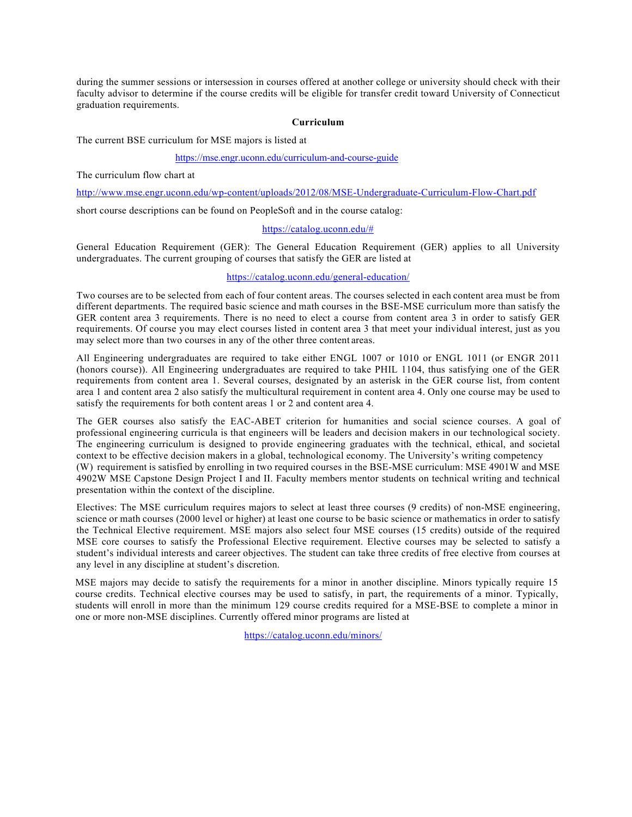during the summer sessions or intersession in courses offered at another college or university should check with their faculty advisor to determine if the course credits will be eligible for transfer credit toward University of Connecticut graduation requirements.

#### **Curriculum**

The current BSE curriculum for MSE majors is listed at

#### https://mse.engr.uconn.edu/curriculum-and-course-guide

The curriculum flow chart at

http://www.mse.engr.uconn.edu/wp-content/uploads/2012/08/MSE-Undergraduate-Curriculum-Flow-Chart.pdf

short course descriptions can be found on PeopleSoft and in the course catalog:

#### https://catalog.uconn.edu/#

General Education Requirement (GER): The General Education Requirement (GER) applies to all University undergraduates. The current grouping of courses that satisfy the GER are listed at

### https://catalog.uconn.edu/general-education/

Two courses are to be selected from each of four content areas. The courses selected in each content area must be from different departments. The required basic science and math courses in the BSE-MSE curriculum more than satisfy the GER content area 3 requirements. There is no need to elect a course from content area 3 in order to satisfy GER requirements. Of course you may elect courses listed in content area 3 that meet your individual interest, just as you may select more than two courses in any of the other three content areas.

All Engineering undergraduates are required to take either ENGL 1007 or 1010 or ENGL 1011 (or ENGR 2011 (honors course)). All Engineering undergraduates are required to take PHIL 1104, thus satisfying one of the GER requirements from content area 1. Several courses, designated by an asterisk in the GER course list, from content area 1 and content area 2 also satisfy the multicultural requirement in content area 4. Only one course may be used to satisfy the requirements for both content areas 1 or 2 and content area 4.

The GER courses also satisfy the EAC-ABET criterion for humanities and social science courses. A goal of professional engineering curricula is that engineers will be leaders and decision makers in our technological society. The engineering curriculum is designed to provide engineering graduates with the technical, ethical, and societal context to be effective decision makers in a global, technological economy. The University's writing competency (W) requirement is satisfied by enrolling in two required courses in the BSE-MSE curriculum: MSE 4901W and MSE 4902W MSE Capstone Design Project I and II. Faculty members mentor students on technical writing and technical presentation within the context of the discipline.

Electives: The MSE curriculum requires majors to select at least three courses (9 credits) of non-MSE engineering, science or math courses (2000 level or higher) at least one course to be basic science or mathematics in order to satisfy the Technical Elective requirement. MSE majors also select four MSE courses (15 credits) outside of the required MSE core courses to satisfy the Professional Elective requirement. Elective courses may be selected to satisfy a student's individual interests and career objectives. The student can take three credits of free elective from courses at any level in any discipline at student's discretion.

MSE majors may decide to satisfy the requirements for a minor in another discipline. Minors typically require 15 course credits. Technical elective courses may be used to satisfy, in part, the requirements of a minor. Typically, students will enroll in more than the minimum 129 course credits required for a MSE-BSE to complete a minor in one or more non-MSE disciplines. Currently offered minor programs are listed at

https://catalog.uconn.edu/minors/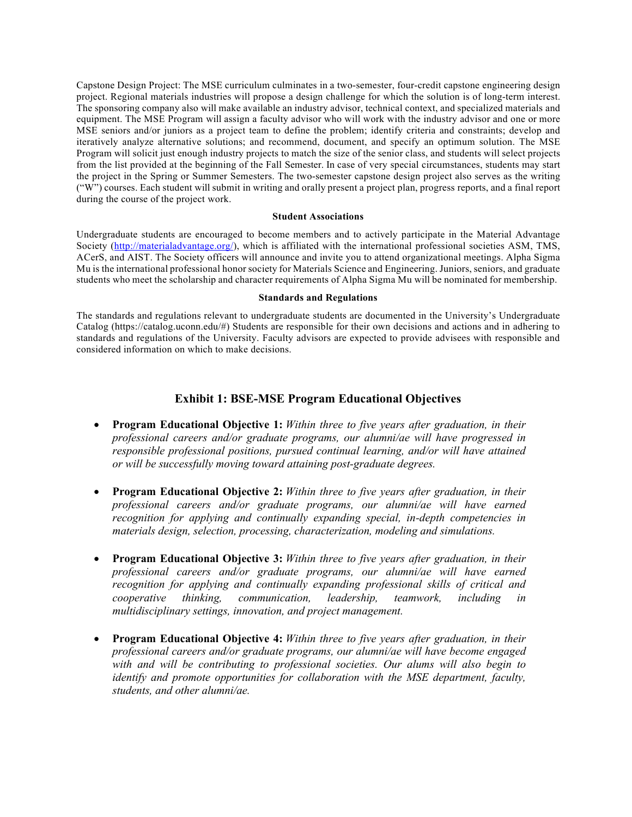Capstone Design Project: The MSE curriculum culminates in a two-semester, four-credit capstone engineering design project. Regional materials industries will propose a design challenge for which the solution is of long-term interest. The sponsoring company also will make available an industry advisor, technical context, and specialized materials and equipment. The MSE Program will assign a faculty advisor who will work with the industry advisor and one or more MSE seniors and/or juniors as a project team to define the problem; identify criteria and constraints; develop and iteratively analyze alternative solutions; and recommend, document, and specify an optimum solution. The MSE Program will solicit just enough industry projects to match the size of the senior class, and students will select projects from the list provided at the beginning of the Fall Semester. In case of very special circumstances, students may start the project in the Spring or Summer Semesters. The two-semester capstone design project also serves as the writing ("W") courses. Each student will submit in writing and orally present a project plan, progress reports, and a final report during the course of the project work.

#### **Student Associations**

Undergraduate students are encouraged to become members and to actively participate in the Material Advantage Society (http://materialadvantage.org/), which is affiliated with the international professional societies ASM, TMS, ACerS, and AIST. The Society officers will announce and invite you to attend organizational meetings. Alpha Sigma Mu is the international professional honor society for Materials Science and Engineering. Juniors, seniors, and graduate students who meet the scholarship and character requirements of Alpha Sigma Mu will be nominated for membership.

#### **Standards and Regulations**

The standards and regulations relevant to undergraduate students are documented in the University's Undergraduate Catalog (https://catalog.uconn.edu/#) Students are responsible for their own decisions and actions and in adhering to standards and regulations of the University. Faculty advisors are expected to provide advisees with responsible and considered information on which to make decisions.

## **Exhibit 1: BSE-MSE Program Educational Objectives**

- **Program Educational Objective 1:** *Within three to five years after graduation, in their professional careers and/or graduate programs, our alumni/ae will have progressed in responsible professional positions, pursued continual learning, and/or will have attained or will be successfully moving toward attaining post-graduate degrees.*
- **Program Educational Objective 2:** *Within three to five years after graduation, in their professional careers and/or graduate programs, our alumni/ae will have earned recognition for applying and continually expanding special, in-depth competencies in materials design, selection, processing, characterization, modeling and simulations.*
- **Program Educational Objective 3:** *Within three to five years after graduation, in their professional careers and/or graduate programs, our alumni/ae will have earned recognition for applying and continually expanding professional skills of critical and cooperative thinking, communication, leadership, teamwork, including in multidisciplinary settings, innovation, and project management.*
- **Program Educational Objective 4:** *Within three to five years after graduation, in their professional careers and/or graduate programs, our alumni/ae will have become engaged with and will be contributing to professional societies. Our alums will also begin to identify and promote opportunities for collaboration with the MSE department, faculty, students, and other alumni/ae.*